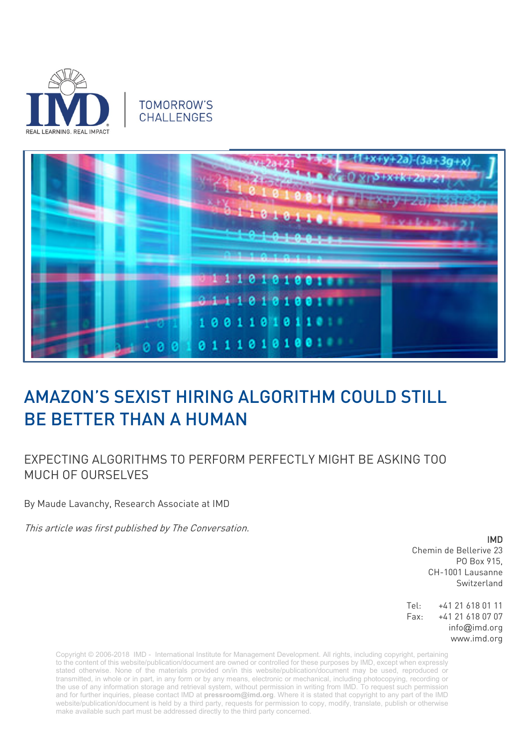

## **TOMORROW'S** CHALL FNGES



## AMAZON'S SEXIST HIRING ALGORITHM COULD STILL BE BETTER THAN A HUMAN

## EXPECTING ALGORITHMS TO PERFORM PERFECTLY MIGHT BE ASKING TOO MUCH OF OURSELVES

By Maude Lavanchy, Research Associate at IMD

This article was first published by The Conversation.

IMD

Chemin de Bellerive 23 PO Box 915, CH-1001 Lausanne Switzerland

Tel: +41 21 618 01 11 Fax: +41 21 618 07 07 info@imd.org www.imd.org

Copyright © 2006-2018 IMD - International Institute for Management Development. All rights, including copyright, pertaining to the content of this website/publication/document are owned or controlled for these purposes by IMD, except when expressly stated otherwise. None of the materials provided on/in this website/publication/document may be used, reproduced or transmitted, in whole or in part, in any form or by any means, electronic or mechanical, including photocopying, recording or the use of any information storage and retrieval system, without permission in writing from IMD. To request such permission and for further inquiries, please contact IMD at **[pressroom@imd.org](mailto:pressroom@imd.org)**. Where it is stated that copyright to any part of the IMD website/publication/document is held by a third party, requests for permission to copy, modify, translate, publish or otherwise make available such part must be addressed directly to the third party concerned.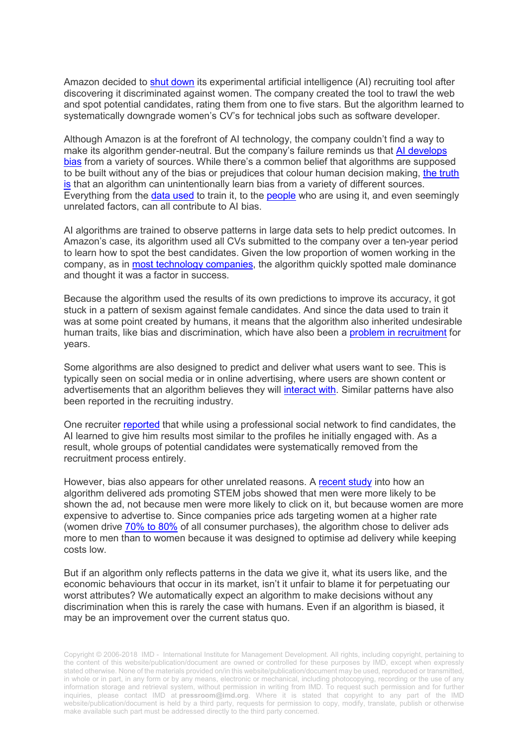Amazon decided to [shut down](https://www.reuters.com/article/us-amazon-com-jobs-automation-insight/amazon-scraps-secret-ai-recruiting-tool-that-showed-bias-against-women-idUSKCN1MK08G) its experimental artificial intelligence (AI) recruiting tool after discovering it discriminated against women. The company created the tool to trawl the web and spot potential candidates, rating them from one to five stars. But the algorithm learned to systematically downgrade women's CV's for technical jobs such as software developer.

Although Amazon is at the forefront of AI technology, the company couldn't find a way to make its algorithm gender-neutral. But the company's failure reminds us that [AI develops](https://theconversation.com/big-data-algorithms-can-discriminate-and-its-not-clear-what-to-do-about-it-45849)  [bias](https://theconversation.com/big-data-algorithms-can-discriminate-and-its-not-clear-what-to-do-about-it-45849) from a variety of sources. While there's a common belief that algorithms are supposed to be built without any of the bias or prejudices that colour human decision making, [the truth](https://www.ft.com/content/d2a1ab08-f63e-11e7-a4c9-bbdefa4f210b)  [is](https://www.ft.com/content/d2a1ab08-f63e-11e7-a4c9-bbdefa4f210b) that an algorithm can unintentionally learn bias from a variety of different sources. Everything from the [data used](https://arxiv.org/pdf/1809.02208.pdf) to train it, to the [people](https://www.seattletimes.com/business/microsoft/how-linkedins-search-engine-may-reflect-a-bias/) who are using it, and even seemingly unrelated factors, can all contribute to AI bias.

AI algorithms are trained to observe patterns in large data sets to help predict outcomes. In Amazon's case, its algorithm used all CVs submitted to the company over a ten-year period to learn how to spot the best candidates. Given the low proportion of women working in the company, as in [most technology companies,](https://informationisbeautiful.net/visualizations/diversity-in-tech/) the algorithm quickly spotted male dominance and thought it was a factor in success.

Because the algorithm used the results of its own predictions to improve its accuracy, it got stuck in a pattern of sexism against female candidates. And since the data used to train it was at some point created by humans, it means that the algorithm also inherited undesirable human traits, like bias and discrimination, which have also been a [problem in recruitment](https://www.aeaweb.org/articles?id=10.1257/0002828042002561) for years.

Some algorithms are also designed to predict and deliver what users want to see. This is typically seen on social media or in online advertising, where users are shown content or advertisements that an algorithm believes they will [interact with.](https://ed.ted.com/lessons/beware-online-filter-bubbles-eli-pariser) Similar patterns have also been reported in the recruiting industry.

One recruiter [reported](https://www.fastcompany.com/40536485/now-is-the-time-to-act-to-stop-bias-in-ai) that while using a professional social network to find candidates, the AI learned to give him results most similar to the profiles he initially engaged with. As a result, whole groups of potential candidates were systematically removed from the recruitment process entirely.

However, bias also appears for other unrelated reasons. A [recent study](http://lbsresearch.london.edu/967/) into how an algorithm delivered ads promoting STEM jobs showed that men were more likely to be shown the ad, not because men were more likely to click on it, but because women are more expensive to advertise to. Since companies price ads targeting women at a higher rate (women drive [70% to 80%](https://www.forbes.com/sites/michelleking/2017/05/24/want-a-piece-of-the-18-trillion-dollar-female-economy-start-with-gender-bias/#1bf839a76123) of all consumer purchases), the algorithm chose to deliver ads more to men than to women because it was designed to optimise ad delivery while keeping costs low.

But if an algorithm only reflects patterns in the data we give it, what its users like, and the economic behaviours that occur in its market, isn't it unfair to blame it for perpetuating our worst attributes? We automatically expect an algorithm to make decisions without any discrimination when this is rarely the case with humans. Even if an algorithm is biased, it may be an improvement over the current status quo.

Copyright © 2006-2018 IMD - International Institute for Management Development. All rights, including copyright, pertaining to the content of this website/publication/document are owned or controlled for these purposes by IMD, except when expressly stated otherwise. None of the materials provided on/in this website/publication/document may be used, reproduced or transmitted, in whole or in part, in any form or by any means, electronic or mechanical, including photocopying, recording or the use of any information storage and retrieval system, without permission in writing from IMD. To request such permission and for further inquiries, please contact IMD at **[pressroom@imd.org](mailto:pressroom@imd.org)**. Where it is stated that copyright to any part of the IMD website/publication/document is held by a third party, requests for permission to copy, modify, translate, publish or otherwise make available such part must be addressed directly to the third party concerned.